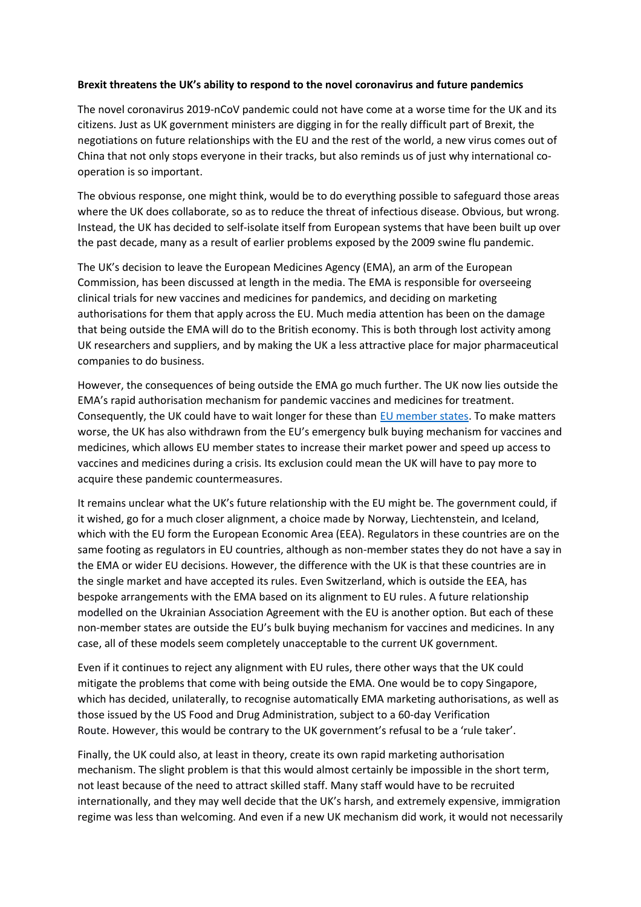## **Brexit threatens the UK's ability to respond to the novel coronavirus and future pandemics**

The novel coronavirus 2019-nCoV pandemic could not have come at a worse time for the UK and its citizens. Just as UK government ministers are digging in for the really difficult part of Brexit, the negotiations on future relationships with the EU and the rest of the world, a new virus comes out of China that not only stops everyone in their tracks, but also reminds us of just why international cooperation is so important.

The obvious response, one might think, would be to do everything possible to safeguard those areas where the UK does collaborate, so as to reduce the threat of infectious disease. Obvious, but wrong. Instead, the UK has decided to self-isolate itself from European systems that have been built up over the past decade, many as a result of earlier problems exposed by the 2009 swine flu pandemic.

The UK's decision to leave the European Medicines Agency (EMA), an arm of the European Commission, has been discussed at length in the media. The EMA is responsible for overseeing clinical trials for new vaccines and medicines for pandemics, and deciding on marketing authorisations for them that apply across the EU. Much media attention has been on the damage that being outside the EMA will do to the British economy. This is both through lost activity among UK researchers and suppliers, and by making the UK a less attractive place for major pharmaceutical companies to do business.

However, the consequences of being outside the EMA go much further. The UK now lies outside the EMA's rapid authorisation mechanism for pandemic vaccines and medicines for treatment. Consequently, the UK could have to wait longer for these than EU member states. To make matters worse, the UK has also withdrawn from the EU's emergency bulk buying mechanism for vaccines and medicines, which allows EU member states to increase their market power and speed up access to vaccines and medicines during a crisis. Its exclusion could mean the UK will have to pay more to acquire these pandemic countermeasures.

It remains unclear what the UK's future relationship with the EU might be. The government could, if it wished, go for a much closer alignment, a choice made by Norway, Liechtenstein, and Iceland, which with the EU form the European Economic Area (EEA). Regulators in these countries are on the same footing as regulators in EU countries, although as non-member states they do not have a say in the EMA or wider EU decisions. However, the difference with the UK is that these countries are in the single market and have accepted its rules. Even Switzerland, which is outside the EEA, has bespoke arrangements with the EMA based on its alignment to EU rules. A future relationship modelled on the Ukrainian Association Agreement with the EU is another option. But each of these non-member states are outside the EU's bulk buying mechanism for vaccines and medicines. In any case, all of these models seem completely unacceptable to the current UK government.

Even if it continues to reject any alignment with EU rules, there other ways that the UK could mitigate the problems that come with being outside the EMA. One would be to copy Singapore, which has decided, unilaterally, to recognise automatically EMA marketing authorisations, as well as those issued by the US Food and Drug Administration, subject to a 60-day Verification Route. However, this would be contrary to the UK government's refusal to be a 'rule taker'.

Finally, the UK could also, at least in theory, create its own rapid marketing authorisation mechanism. The slight problem is that this would almost certainly be impossible in the short term, not least because of the need to attract skilled staff. Many staff would have to be recruited internationally, and they may well decide that the UK's harsh, and extremely expensive, immigration regime was less than welcoming. And even if a new UK mechanism did work, it would not necessarily